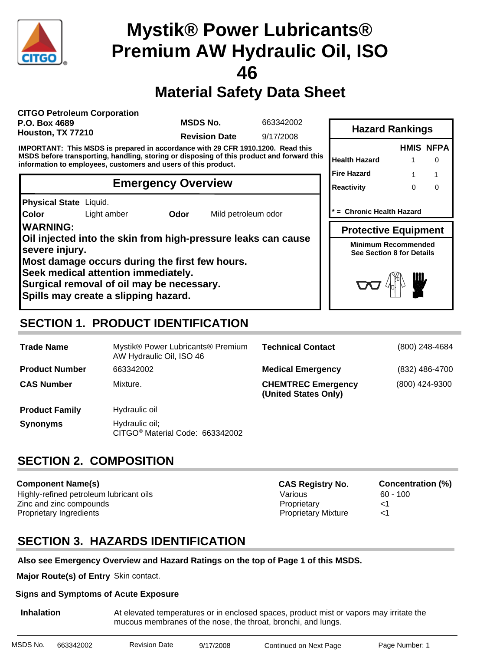

## **Material Safety Data Sheet**

**CITGO Petroleum Corporation P.O. Box 4689 Houston, TX 77210**

**MSDS No.**

663342002

**Revision Date** 9/17/2008

**IMPORTANT: This MSDS is prepared in accordance with 29 CFR 1910.1200. Read this MSDS before transporting, handling, storing or disposing of this product and forward this information to employees, customers and users of this product.**

#### **Emergency Overview**

**Physical State** Liquid.

**Color**

Light amber **Odor** Mild petroleum odor

**WARNING: Oil injected into the skin from high-pressure leaks can cause severe injury. Most damage occurs during the first few hours. Seek medical attention immediately.**

**Surgical removal of oil may be necessary.**

**Spills may create a slipping hazard.**

|                      |   | <b>HMIS NFPA</b>  |
|----------------------|---|-------------------|
| <b>Health Hazard</b> |   | $\mathbf{\Omega}$ |
| <b>Fire Hazard</b>   | 1 |                   |
| <b>Reactivity</b>    | ∩ |                   |
|                      |   |                   |

**Hazard Rankings**

**\* = Chronic Health Hazard**

**Protective Equipment**

**Minimum Recommended See Section 8 for Details**



### **SECTION 1. PRODUCT IDENTIFICATION**

| <b>Trade Name</b>     | Mystik® Power Lubricants® Premium<br>AW Hydraulic Oil, ISO 46 | <b>Technical Contact</b>                          | (800) 248-4684 |
|-----------------------|---------------------------------------------------------------|---------------------------------------------------|----------------|
| <b>Product Number</b> | 663342002                                                     | <b>Medical Emergency</b>                          | (832) 486-4700 |
| <b>CAS Number</b>     | Mixture.                                                      | <b>CHEMTREC Emergency</b><br>(United States Only) | (800) 424-9300 |
| <b>Product Family</b> | Hydraulic oil                                                 |                                                   |                |
| <b>Synonyms</b>       | Hydraulic oil;<br>CITGO <sup>®</sup> Material Code: 663342002 |                                                   |                |

### **SECTION 2. COMPOSITION**

**Component Name(s)** Highly-refined petroleum lubricant oils **Various** Various 60 - 100 Zinc and zinc compounds Proprietary <1 Proprietary Ingredients <1

**CAS Registry No. Concentration (%)**

### **SECTION 3. HAZARDS IDENTIFICATION**

#### **Also see Emergency Overview and Hazard Ratings on the top of Page 1 of this MSDS.**

**Major Route(s) of Entry** Skin contact.

#### **Signs and Symptoms of Acute Exposure**

**Inhalation** At elevated temperatures or in enclosed spaces, product mist or vapors may irritate the mucous membranes of the nose, the throat, bronchi, and lungs.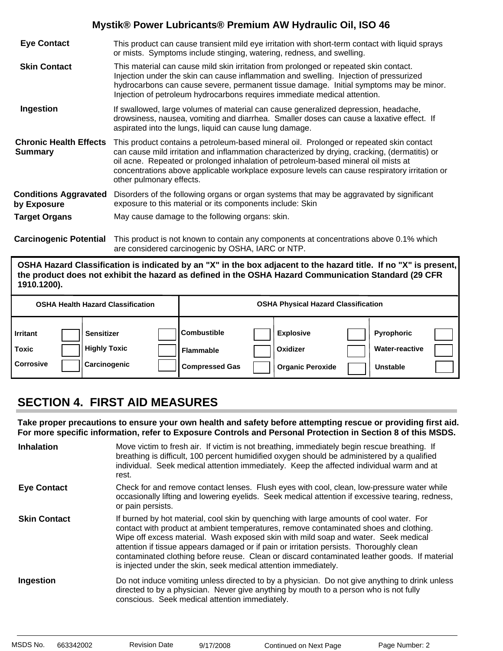| <b>Eye Contact</b>                              | This product can cause transient mild eye irritation with short-term contact with liquid sprays<br>or mists. Symptoms include stinging, watering, redness, and swelling.                                                                                                                                                                                                                                    |
|-------------------------------------------------|-------------------------------------------------------------------------------------------------------------------------------------------------------------------------------------------------------------------------------------------------------------------------------------------------------------------------------------------------------------------------------------------------------------|
| <b>Skin Contact</b>                             | This material can cause mild skin irritation from prolonged or repeated skin contact.<br>Injection under the skin can cause inflammation and swelling. Injection of pressurized<br>hydrocarbons can cause severe, permanent tissue damage. Initial symptoms may be minor.<br>Injection of petroleum hydrocarbons requires immediate medical attention.                                                      |
| Ingestion                                       | If swallowed, large volumes of material can cause generalized depression, headache,<br>drowsiness, nausea, vomiting and diarrhea. Smaller doses can cause a laxative effect. If<br>aspirated into the lungs, liquid can cause lung damage.                                                                                                                                                                  |
| <b>Chronic Health Effects</b><br><b>Summary</b> | This product contains a petroleum-based mineral oil. Prolonged or repeated skin contact<br>can cause mild irritation and inflammation characterized by drying, cracking, (dermatitis) or<br>oil acne. Repeated or prolonged inhalation of petroleum-based mineral oil mists at<br>concentrations above applicable workplace exposure levels can cause respiratory irritation or<br>other pulmonary effects. |
| <b>Conditions Aggravated</b><br>by Exposure     | Disorders of the following organs or organ systems that may be aggravated by significant<br>exposure to this material or its components include: Skin                                                                                                                                                                                                                                                       |
| <b>Target Organs</b>                            | May cause damage to the following organs: skin.                                                                                                                                                                                                                                                                                                                                                             |
|                                                 | Azazla zazadz Betzatlek (TRS so kotko orkeo organizo de so so so so so so so so so so storico de la Altat (Pek                                                                                                                                                                                                                                                                                              |

**Carcinogenic Potential** This product is not known to contain any components at concentrations above 0.1% which are considered carcinogenic by OSHA, IARC or NTP.

**OSHA Hazard Classification is indicated by an "X" in the box adjacent to the hazard title. If no "X" is present, the product does not exhibit the hazard as defined in the OSHA Hazard Communication Standard (29 CFR 1910.1200).**

|                                              | <b>OSHA Health Hazard Classification</b>                 |                                                                 | <b>OSHA Physical Hazard Classification</b>              |                                                        |  |
|----------------------------------------------|----------------------------------------------------------|-----------------------------------------------------------------|---------------------------------------------------------|--------------------------------------------------------|--|
| <b>Irritant</b><br>Toxic<br><b>Corrosive</b> | <b>Sensitizer</b><br><b>Highly Toxic</b><br>Carcinogenic | <b>Combustible</b><br><b>Flammable</b><br><b>Compressed Gas</b> | <b>Explosive</b><br>Oxidizer<br><b>Organic Peroxide</b> | Pyrophoric<br><b>Water-reactive</b><br><b>Unstable</b> |  |

### **SECTION 4. FIRST AID MEASURES**

**Take proper precautions to ensure your own health and safety before attempting rescue or providing first aid. For more specific information, refer to Exposure Controls and Personal Protection in Section 8 of this MSDS.**

| <b>Inhalation</b>   | Move victim to fresh air. If victim is not breathing, immediately begin rescue breathing. If<br>breathing is difficult, 100 percent humidified oxygen should be administered by a qualified<br>individual. Seek medical attention immediately. Keep the affected individual warm and at<br>rest.                                                                                                                                                                                                                                     |
|---------------------|--------------------------------------------------------------------------------------------------------------------------------------------------------------------------------------------------------------------------------------------------------------------------------------------------------------------------------------------------------------------------------------------------------------------------------------------------------------------------------------------------------------------------------------|
| <b>Eye Contact</b>  | Check for and remove contact lenses. Flush eyes with cool, clean, low-pressure water while<br>occasionally lifting and lowering eyelids. Seek medical attention if excessive tearing, redness,<br>or pain persists.                                                                                                                                                                                                                                                                                                                  |
| <b>Skin Contact</b> | If burned by hot material, cool skin by quenching with large amounts of cool water. For<br>contact with product at ambient temperatures, remove contaminated shoes and clothing.<br>Wipe off excess material. Wash exposed skin with mild soap and water. Seek medical<br>attention if tissue appears damaged or if pain or irritation persists. Thoroughly clean<br>contaminated clothing before reuse. Clean or discard contaminated leather goods. If material<br>is injected under the skin, seek medical attention immediately. |
| Ingestion           | Do not induce vomiting unless directed to by a physician. Do not give anything to drink unless<br>directed to by a physician. Never give anything by mouth to a person who is not fully<br>conscious. Seek medical attention immediately.                                                                                                                                                                                                                                                                                            |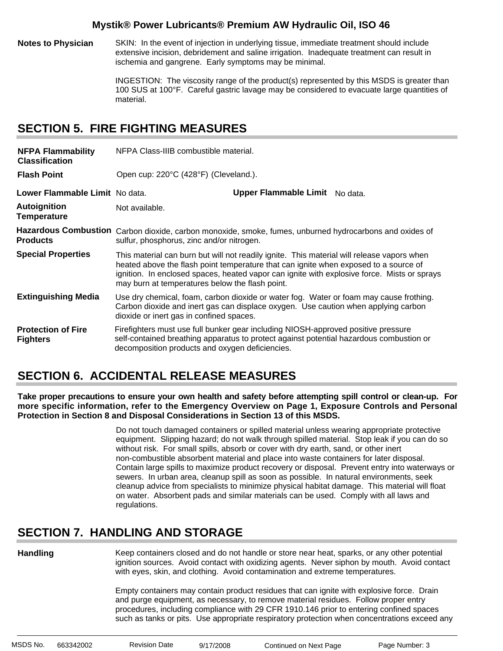**Notes to Physician** SKIN: In the event of injection in underlying tissue, immediate treatment should include extensive incision, debridement and saline irrigation. Inadequate treatment can result in ischemia and gangrene. Early symptoms may be minimal.

> INGESTION: The viscosity range of the product(s) represented by this MSDS is greater than 100 SUS at 100°F. Careful gastric lavage may be considered to evacuate large quantities of material.

#### **SECTION 5. FIRE FIGHTING MEASURES**

| <b>NFPA Flammability</b><br><b>Classification</b> | NFPA Class-IIIB combustible material.                                                                                                                |                                                                                                                                                                                                                                                                                   |  |
|---------------------------------------------------|------------------------------------------------------------------------------------------------------------------------------------------------------|-----------------------------------------------------------------------------------------------------------------------------------------------------------------------------------------------------------------------------------------------------------------------------------|--|
| <b>Flash Point</b>                                | Open cup: 220°C (428°F) (Cleveland.).                                                                                                                |                                                                                                                                                                                                                                                                                   |  |
| Lower Flammable Limit No data.                    |                                                                                                                                                      | Upper Flammable Limit No data.                                                                                                                                                                                                                                                    |  |
| <b>Autoignition</b><br><b>Temperature</b>         | Not available.                                                                                                                                       |                                                                                                                                                                                                                                                                                   |  |
| <b>Products</b>                                   | Hazardous Combustion Carbon dioxide, carbon monoxide, smoke, fumes, unburned hydrocarbons and oxides of<br>sulfur, phosphorus, zinc and/or nitrogen. |                                                                                                                                                                                                                                                                                   |  |
| <b>Special Properties</b>                         | may burn at temperatures below the flash point.                                                                                                      | This material can burn but will not readily ignite. This material will release vapors when<br>heated above the flash point temperature that can ignite when exposed to a source of<br>ignition. In enclosed spaces, heated vapor can ignite with explosive force. Mists or sprays |  |
| <b>Extinguishing Media</b>                        | dioxide or inert gas in confined spaces.                                                                                                             | Use dry chemical, foam, carbon dioxide or water fog. Water or foam may cause frothing.<br>Carbon dioxide and inert gas can displace oxygen. Use caution when applying carbon                                                                                                      |  |
| <b>Protection of Fire</b><br><b>Fighters</b>      | decomposition products and oxygen deficiencies.                                                                                                      | Firefighters must use full bunker gear including NIOSH-approved positive pressure<br>self-contained breathing apparatus to protect against potential hazardous combustion or                                                                                                      |  |

### **SECTION 6. ACCIDENTAL RELEASE MEASURES**

**Take proper precautions to ensure your own health and safety before attempting spill control or clean-up. For more specific information, refer to the Emergency Overview on Page 1, Exposure Controls and Personal Protection in Section 8 and Disposal Considerations in Section 13 of this MSDS.**

> Do not touch damaged containers or spilled material unless wearing appropriate protective equipment. Slipping hazard; do not walk through spilled material. Stop leak if you can do so without risk. For small spills, absorb or cover with dry earth, sand, or other inert non-combustible absorbent material and place into waste containers for later disposal. Contain large spills to maximize product recovery or disposal. Prevent entry into waterways or sewers. In urban area, cleanup spill as soon as possible. In natural environments, seek cleanup advice from specialists to minimize physical habitat damage. This material will float on water. Absorbent pads and similar materials can be used. Comply with all laws and regulations.

### **SECTION 7. HANDLING AND STORAGE**

**Handling**

Keep containers closed and do not handle or store near heat, sparks, or any other potential ignition sources. Avoid contact with oxidizing agents. Never siphon by mouth. Avoid contact with eyes, skin, and clothing. Avoid contamination and extreme temperatures.

Empty containers may contain product residues that can ignite with explosive force. Drain and purge equipment, as necessary, to remove material residues. Follow proper entry procedures, including compliance with 29 CFR 1910.146 prior to entering confined spaces such as tanks or pits. Use appropriate respiratory protection when concentrations exceed any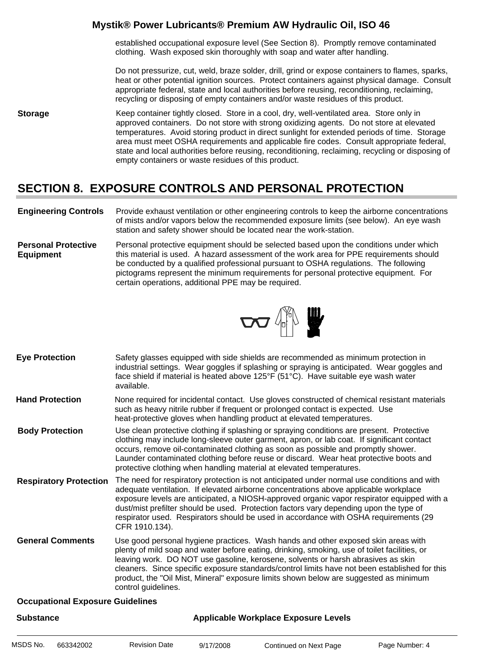established occupational exposure level (See Section 8). Promptly remove contaminated clothing. Wash exposed skin thoroughly with soap and water after handling.

Do not pressurize, cut, weld, braze solder, drill, grind or expose containers to flames, sparks, heat or other potential ignition sources. Protect containers against physical damage. Consult appropriate federal, state and local authorities before reusing, reconditioning, reclaiming, recycling or disposing of empty containers and/or waste residues of this product.

**Storage** Keep container tightly closed. Store in a cool, dry, well-ventilated area. Store only in approved containers. Do not store with strong oxidizing agents. Do not store at elevated temperatures. Avoid storing product in direct sunlight for extended periods of time. Storage area must meet OSHA requirements and applicable fire codes. Consult appropriate federal, state and local authorities before reusing, reconditioning, reclaiming, recycling or disposing of empty containers or waste residues of this product.

### **SECTION 8. EXPOSURE CONTROLS AND PERSONAL PROTECTION**

- **Engineering Controls** Provide exhaust ventilation or other engineering controls to keep the airborne concentrations of mists and/or vapors below the recommended exposure limits (see below). An eye wash station and safety shower should be located near the work-station.
- **Personal Protective Equipment** Personal protective equipment should be selected based upon the conditions under which this material is used. A hazard assessment of the work area for PPE requirements should be conducted by a qualified professional pursuant to OSHA regulations. The following pictograms represent the minimum requirements for personal protective equipment. For certain operations, additional PPE may be required.



- Safety glasses equipped with side shields are recommended as minimum protection in industrial settings. Wear goggles if splashing or spraying is anticipated. Wear goggles and face shield if material is heated above 125°F (51°C). Have suitable eye wash water available. **Eye Protection**
- None required for incidental contact. Use gloves constructed of chemical resistant materials such as heavy nitrile rubber if frequent or prolonged contact is expected. Use heat-protective gloves when handling product at elevated temperatures. **Hand Protection**
- Use clean protective clothing if splashing or spraying conditions are present. Protective clothing may include long-sleeve outer garment, apron, or lab coat. If significant contact occurs, remove oil-contaminated clothing as soon as possible and promptly shower. Launder contaminated clothing before reuse or discard. Wear heat protective boots and protective clothing when handling material at elevated temperatures. **Body Protection**
- The need for respiratory protection is not anticipated under normal use conditions and with adequate ventilation. If elevated airborne concentrations above applicable workplace exposure levels are anticipated, a NIOSH-approved organic vapor respirator equipped with a dust/mist prefilter should be used. Protection factors vary depending upon the type of respirator used. Respirators should be used in accordance with OSHA requirements (29 CFR 1910.134). **Respiratory Protection**
- Use good personal hygiene practices. Wash hands and other exposed skin areas with plenty of mild soap and water before eating, drinking, smoking, use of toilet facilities, or leaving work. DO NOT use gasoline, kerosene, solvents or harsh abrasives as skin cleaners. Since specific exposure standards/control limits have not been established for this product, the "Oil Mist, Mineral" exposure limits shown below are suggested as minimum control guidelines. **General Comments**

#### **Occupational Exposure Guidelines**

| <b>Substance</b> |           |                      | <b>Applicable Workplace Exposure Levels</b> |                        |                |  |  |
|------------------|-----------|----------------------|---------------------------------------------|------------------------|----------------|--|--|
| MSDS No.         | 663342002 | <b>Revision Date</b> | 9/17/2008                                   | Continued on Next Page | Page Number: 4 |  |  |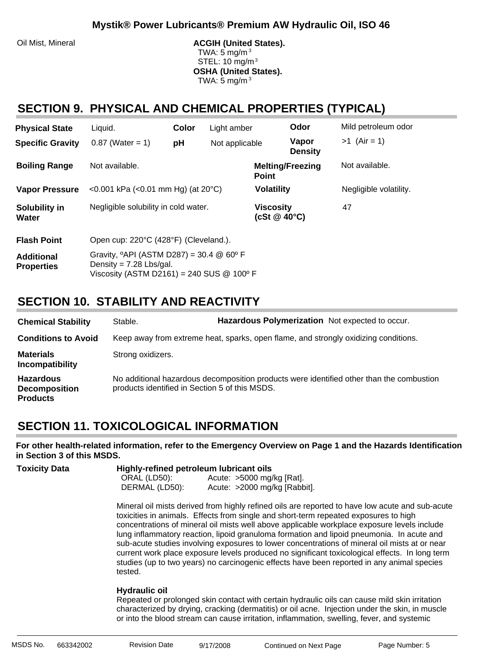Oil Mist, Mineral **ACGIH (United States).** ACGIH (United States). TWA: 5 mg/m $3$  STEL: 10 mg/m3 **OSHA (United States).** TWA:  $5 \text{ mg/m}^3$ 

#### **SECTION 9. PHYSICAL AND CHEMICAL PROPERTIES (TYPICAL)**

| <b>Physical State</b>                  | Liquid.                                                                                                                                            | Color | Light amber       |                                        | Odor                    | Mild petroleum odor |
|----------------------------------------|----------------------------------------------------------------------------------------------------------------------------------------------------|-------|-------------------|----------------------------------------|-------------------------|---------------------|
| <b>Specific Gravity</b>                | $0.87$ (Water = 1)                                                                                                                                 | рH    | Not applicable    |                                        | Vapor<br><b>Density</b> | $>1$ (Air = 1)      |
| <b>Boiling Range</b>                   | Not available.                                                                                                                                     |       |                   | <b>Point</b>                           | <b>Melting/Freezing</b> | Not available.      |
| <b>Vapor Pressure</b>                  | <0.001 kPa (<0.01 mm Hg) (at $20^{\circ}$ C)                                                                                                       |       | <b>Volatility</b> |                                        | Negligible volatility.  |                     |
| Solubility in<br>Water                 | Negligible solubility in cold water.                                                                                                               |       |                   | <b>Viscosity</b><br>(cSt $@$ 40 $°C$ ) |                         | 47                  |
| <b>Flash Point</b>                     | Open cup: 220°C (428°F) (Cleveland.).                                                                                                              |       |                   |                                        |                         |                     |
| <b>Additional</b><br><b>Properties</b> | Gravity, $^{\circ}$ API (ASTM D287) = 30.4 @ 60 $^{\circ}$ F<br>Density = $7.28$ Lbs/gal.<br>Viscosity (ASTM D2161) = 240 SUS $@$ 100 $^{\circ}$ F |       |                   |                                        |                         |                     |

### **SECTION 10. STABILITY AND REACTIVITY**

| <b>Chemical Stability</b>                                   | Stable.                                        | Hazardous Polymerization Not expected to occur.                                          |
|-------------------------------------------------------------|------------------------------------------------|------------------------------------------------------------------------------------------|
| <b>Conditions to Avoid</b>                                  |                                                | Keep away from extreme heat, sparks, open flame, and strongly oxidizing conditions.      |
| <b>Materials</b><br>Incompatibility                         | Strong oxidizers.                              |                                                                                          |
| <b>Hazardous</b><br><b>Decomposition</b><br><b>Products</b> | products identified in Section 5 of this MSDS. | No additional hazardous decomposition products were identified other than the combustion |

### **SECTION 11. TOXICOLOGICAL INFORMATION**

**For other health-related information, refer to the Emergency Overview on Page 1 and the Hazards Identification in Section 3 of this MSDS.**

| <b>Toxicity Data</b> | Highly-refined petroleum lubricant oils |                                                             |  |  |
|----------------------|-----------------------------------------|-------------------------------------------------------------|--|--|
|                      | ORAL (LD50):<br>DERMAL (LD50):          | Acute: $>5000$ mg/kg [Rat].<br>Acute: >2000 mg/kg [Rabbit]. |  |  |
|                      |                                         |                                                             |  |  |

Mineral oil mists derived from highly refined oils are reported to have low acute and sub-acute toxicities in animals. Effects from single and short-term repeated exposures to high concentrations of mineral oil mists well above applicable workplace exposure levels include lung inflammatory reaction, lipoid granuloma formation and lipoid pneumonia. In acute and sub-acute studies involving exposures to lower concentrations of mineral oil mists at or near current work place exposure levels produced no significant toxicological effects. In long term studies (up to two years) no carcinogenic effects have been reported in any animal species tested.

#### **Hydraulic oil**:

Repeated or prolonged skin contact with certain hydraulic oils can cause mild skin irritation characterized by drying, cracking (dermatitis) or oil acne. Injection under the skin, in muscle or into the blood stream can cause irritation, inflammation, swelling, fever, and systemic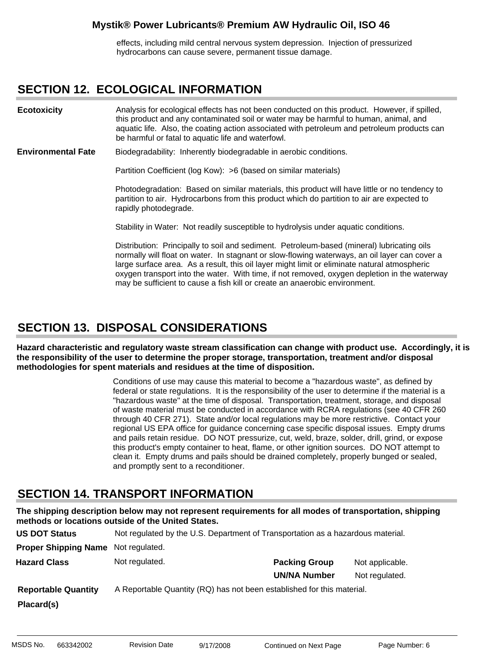effects, including mild central nervous system depression. Injection of pressurized hydrocarbons can cause severe, permanent tissue damage.

#### **SECTION 12. ECOLOGICAL INFORMATION**

Analysis for ecological effects has not been conducted on this product. However, if spilled, this product and any contaminated soil or water may be harmful to human, animal, and aquatic life. Also, the coating action associated with petroleum and petroleum products can be harmful or fatal to aquatic life and waterfowl. **Ecotoxicity**

Biodegradability: Inherently biodegradable in aerobic conditions. **Environmental Fate**

Partition Coefficient (log Kow): >6 (based on similar materials)

Photodegradation: Based on similar materials, this product will have little or no tendency to partition to air. Hydrocarbons from this product which do partition to air are expected to rapidly photodegrade.

Stability in Water: Not readily susceptible to hydrolysis under aquatic conditions.

Distribution: Principally to soil and sediment. Petroleum-based (mineral) lubricating oils normally will float on water. In stagnant or slow-flowing waterways, an oil layer can cover a large surface area. As a result, this oil layer might limit or eliminate natural atmospheric oxygen transport into the water. With time, if not removed, oxygen depletion in the waterway may be sufficient to cause a fish kill or create an anaerobic environment.

#### **SECTION 13. DISPOSAL CONSIDERATIONS**

**Hazard characteristic and regulatory waste stream classification can change with product use. Accordingly, it is the responsibility of the user to determine the proper storage, transportation, treatment and/or disposal methodologies for spent materials and residues at the time of disposition.**

> Conditions of use may cause this material to become a "hazardous waste", as defined by federal or state regulations. It is the responsibility of the user to determine if the material is a "hazardous waste" at the time of disposal. Transportation, treatment, storage, and disposal of waste material must be conducted in accordance with RCRA regulations (see 40 CFR 260 through 40 CFR 271). State and/or local regulations may be more restrictive. Contact your regional US EPA office for guidance concerning case specific disposal issues. Empty drums and pails retain residue. DO NOT pressurize, cut, weld, braze, solder, drill, grind, or expose this product's empty container to heat, flame, or other ignition sources. DO NOT attempt to clean it. Empty drums and pails should be drained completely, properly bunged or sealed, and promptly sent to a reconditioner.

#### **SECTION 14. TRANSPORT INFORMATION**

**The shipping description below may not represent requirements for all modes of transportation, shipping methods or locations outside of the United States.**

| <b>US DOT Status</b>        | Not regulated by the U.S. Department of Transportation as a hazardous material. |                      |                 |
|-----------------------------|---------------------------------------------------------------------------------|----------------------|-----------------|
| <b>Proper Shipping Name</b> | Not regulated.                                                                  |                      |                 |
| <b>Hazard Class</b>         | Not regulated.                                                                  | <b>Packing Group</b> | Not applicable. |
|                             |                                                                                 | <b>UN/NA Number</b>  | Not regulated.  |
| <b>Reportable Quantity</b>  | A Reportable Quantity (RQ) has not been established for this material.          |                      |                 |
| Placard(s)                  |                                                                                 |                      |                 |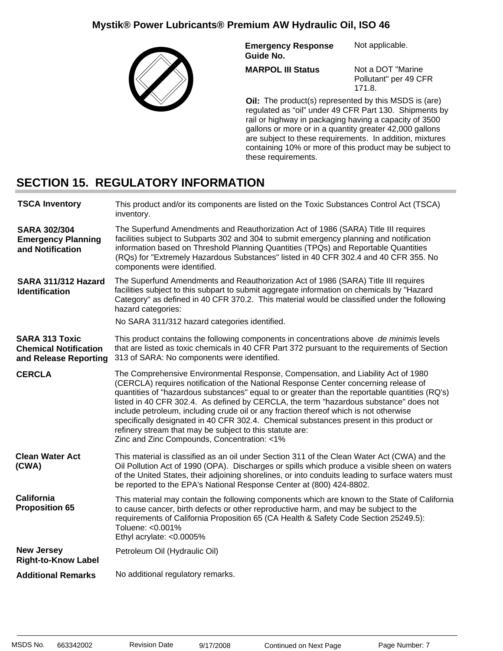

**Emergency Response Guide No.** Not applicable.

**MARPOL III Status**

Not a DOT "Marine Pollutant" per 49 CFR 171.8.

**Oil:** The product(s) represented by this MSDS is (are) regulated as "oil" under 49 CFR Part 130. Shipments by rail or highway in packaging having a capacity of 3500 gallons or more or in a quantity greater 42,000 gallons are subject to these requirements. In addition, mixtures containing 10% or more of this product may be subject to these requirements.

### **SECTION 15. REGULATORY INFORMATION**

| <b>TSCA Inventory</b>                                                          | This product and/or its components are listed on the Toxic Substances Control Act (TSCA)<br>inventory.                                                                                                                                                                                                                                                                                                                                                                                                                                                                                                                                                              |
|--------------------------------------------------------------------------------|---------------------------------------------------------------------------------------------------------------------------------------------------------------------------------------------------------------------------------------------------------------------------------------------------------------------------------------------------------------------------------------------------------------------------------------------------------------------------------------------------------------------------------------------------------------------------------------------------------------------------------------------------------------------|
| <b>SARA 302/304</b><br><b>Emergency Planning</b><br>and Notification           | The Superfund Amendments and Reauthorization Act of 1986 (SARA) Title III requires<br>facilities subject to Subparts 302 and 304 to submit emergency planning and notification<br>information based on Threshold Planning Quantities (TPQs) and Reportable Quantities<br>(RQs) for "Extremely Hazardous Substances" listed in 40 CFR 302.4 and 40 CFR 355. No<br>components were identified.                                                                                                                                                                                                                                                                        |
| SARA 311/312 Hazard<br><b>Identification</b>                                   | The Superfund Amendments and Reauthorization Act of 1986 (SARA) Title III requires<br>facilities subject to this subpart to submit aggregate information on chemicals by "Hazard<br>Category" as defined in 40 CFR 370.2. This material would be classified under the following<br>hazard categories:<br>No SARA 311/312 hazard categories identified.                                                                                                                                                                                                                                                                                                              |
| <b>SARA 313 Toxic</b><br><b>Chemical Notification</b><br>and Release Reporting | This product contains the following components in concentrations above de minimis levels<br>that are listed as toxic chemicals in 40 CFR Part 372 pursuant to the requirements of Section<br>313 of SARA: No components were identified.                                                                                                                                                                                                                                                                                                                                                                                                                            |
| <b>CERCLA</b>                                                                  | The Comprehensive Environmental Response, Compensation, and Liability Act of 1980<br>(CERCLA) requires notification of the National Response Center concerning release of<br>quantities of "hazardous substances" equal to or greater than the reportable quantities (RQ's)<br>listed in 40 CFR 302.4. As defined by CERCLA, the term "hazardous substance" does not<br>include petroleum, including crude oil or any fraction thereof which is not otherwise<br>specifically designated in 40 CFR 302.4. Chemical substances present in this product or<br>refinery stream that may be subject to this statute are:<br>Zinc and Zinc Compounds, Concentration: <1% |
| <b>Clean Water Act</b><br>(CWA)                                                | This material is classified as an oil under Section 311 of the Clean Water Act (CWA) and the<br>Oil Pollution Act of 1990 (OPA). Discharges or spills which produce a visible sheen on waters<br>of the United States, their adjoining shorelines, or into conduits leading to surface waters must<br>be reported to the EPA's National Response Center at (800) 424-8802.                                                                                                                                                                                                                                                                                          |
| <b>California</b><br><b>Proposition 65</b>                                     | This material may contain the following components which are known to the State of California<br>to cause cancer, birth defects or other reproductive harm, and may be subject to the<br>requirements of California Proposition 65 (CA Health & Safety Code Section 25249.5):<br>Toluene: <0.001%<br>Ethyl acrylate: <0.0005%                                                                                                                                                                                                                                                                                                                                       |
| <b>New Jersey</b><br><b>Right-to-Know Label</b>                                | Petroleum Oil (Hydraulic Oil)                                                                                                                                                                                                                                                                                                                                                                                                                                                                                                                                                                                                                                       |
| <b>Additional Remarks</b>                                                      | No additional regulatory remarks.                                                                                                                                                                                                                                                                                                                                                                                                                                                                                                                                                                                                                                   |